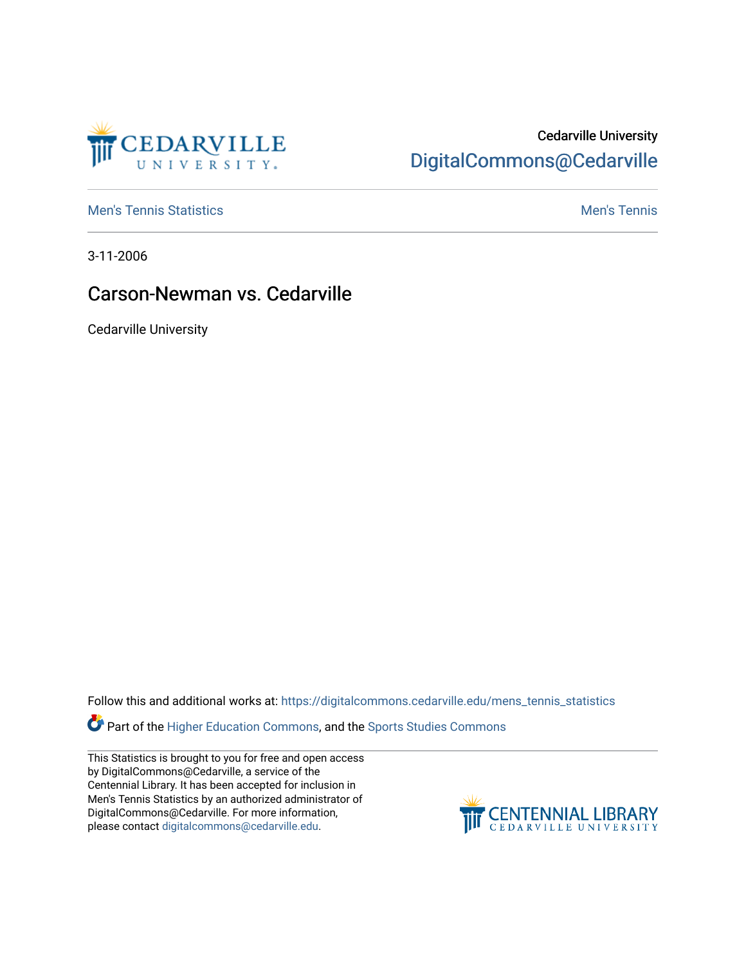

## Cedarville University [DigitalCommons@Cedarville](https://digitalcommons.cedarville.edu/)

**[Men's Tennis Statistics](https://digitalcommons.cedarville.edu/mens_tennis_statistics) Mental According to the Control of Control According Mental Men's Tennis** 

3-11-2006

## Carson-Newman vs. Cedarville

Cedarville University

Follow this and additional works at: [https://digitalcommons.cedarville.edu/mens\\_tennis\\_statistics](https://digitalcommons.cedarville.edu/mens_tennis_statistics?utm_source=digitalcommons.cedarville.edu%2Fmens_tennis_statistics%2F635&utm_medium=PDF&utm_campaign=PDFCoverPages)

Part of the [Higher Education Commons,](http://network.bepress.com/hgg/discipline/1245?utm_source=digitalcommons.cedarville.edu%2Fmens_tennis_statistics%2F635&utm_medium=PDF&utm_campaign=PDFCoverPages) and the [Sports Studies Commons](http://network.bepress.com/hgg/discipline/1198?utm_source=digitalcommons.cedarville.edu%2Fmens_tennis_statistics%2F635&utm_medium=PDF&utm_campaign=PDFCoverPages) 

This Statistics is brought to you for free and open access by DigitalCommons@Cedarville, a service of the Centennial Library. It has been accepted for inclusion in Men's Tennis Statistics by an authorized administrator of DigitalCommons@Cedarville. For more information, please contact [digitalcommons@cedarville.edu](mailto:digitalcommons@cedarville.edu).